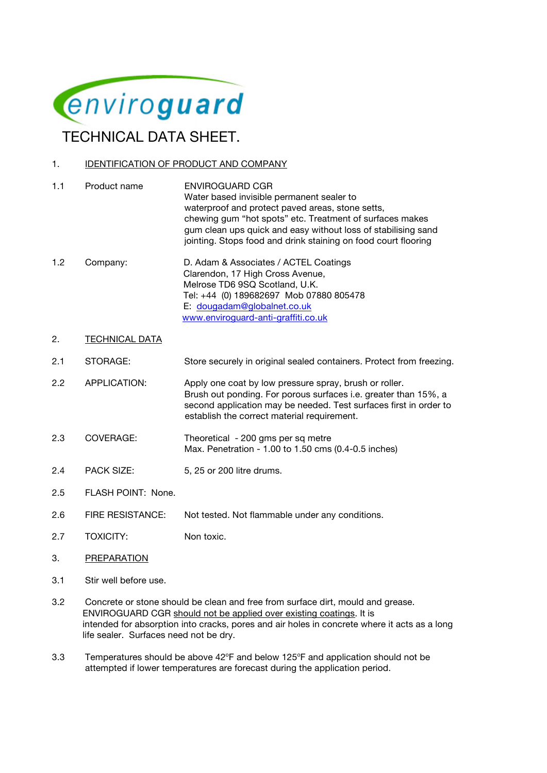

## 1. **IDENTIFICATION OF PRODUCT AND COMPANY**

- 1.1 Product name ENVIROGUARD CGR Water based invisible permanent sealer to waterproof and protect paved areas, stone setts, chewing gum "hot spots" etc. Treatment of surfaces makes gum clean ups quick and easy without loss of stabilising sand jointing. Stops food and drink staining on food court flooring 1.2 Company: D. Adam & Associates / ACTEL Coatings
- Clarendon, 17 High Cross Avenue, Melrose TD6 9SQ Scotland, U.K. Tel: +44 (0) 189682697 Mob 07880 805478 E: dougadam@globalnet.co.uk www.enviroguard-anti-graffiti.co.uk
- 2. TECHNICAL DATA
- 2.1 STORAGE: Store securely in original sealed containers. Protect from freezing.
- 2.2 APPLICATION: Apply one coat by low pressure spray, brush or roller. Brush out ponding. For porous surfaces i.e. greater than 15%, a second application may be needed. Test surfaces first in order to establish the correct material requirement.
- 2.3 COVERAGE: Theoretical 200 gms per sq metre Max. Penetration - 1.00 to 1.50 cms (0.4-0.5 inches)
- 2.4 PACK SIZE: 5, 25 or 200 litre drums.
- 2.5 FLASH POINT: None.
- 2.6 FIRE RESISTANCE: Not tested. Not flammable under any conditions.
- 2.7 TOXICITY: Non toxic.
- 3. PREPARATION
- 3.1 Stir well before use.
- 3.2 Concrete or stone should be clean and free from surface dirt, mould and grease. ENVIROGUARD CGR should not be applied over existing coatings. It is intended for absorption into cracks, pores and air holes in concrete where it acts as a long life sealer. Surfaces need not be dry.
- 3.3 Temperatures should be above  $42^{\circ}$ F and below 125 $^{\circ}$ F and application should not be attempted if lower temperatures are forecast during the application period.